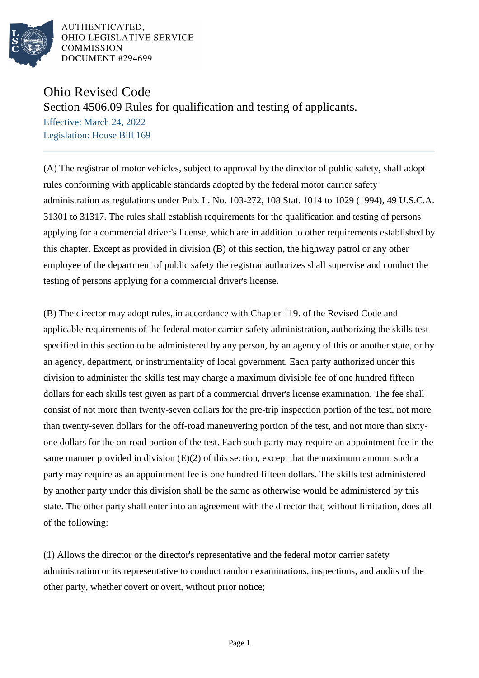

## Ohio Revised Code

Section 4506.09 Rules for qualification and testing of applicants.

Effective: March 24, 2022 Legislation: House Bill 169

(A) The registrar of motor vehicles, subject to approval by the director of public safety, shall adopt rules conforming with applicable standards adopted by the federal motor carrier safety administration as regulations under Pub. L. No. 103-272, 108 Stat. 1014 to 1029 (1994), 49 U.S.C.A. 31301 to 31317. The rules shall establish requirements for the qualification and testing of persons applying for a commercial driver's license, which are in addition to other requirements established by this chapter. Except as provided in division (B) of this section, the highway patrol or any other employee of the department of public safety the registrar authorizes shall supervise and conduct the testing of persons applying for a commercial driver's license.

(B) The director may adopt rules, in accordance with Chapter 119. of the Revised Code and applicable requirements of the federal motor carrier safety administration, authorizing the skills test specified in this section to be administered by any person, by an agency of this or another state, or by an agency, department, or instrumentality of local government. Each party authorized under this division to administer the skills test may charge a maximum divisible fee of one hundred fifteen dollars for each skills test given as part of a commercial driver's license examination. The fee shall consist of not more than twenty-seven dollars for the pre-trip inspection portion of the test, not more than twenty-seven dollars for the off-road maneuvering portion of the test, and not more than sixtyone dollars for the on-road portion of the test. Each such party may require an appointment fee in the same manner provided in division  $(E)(2)$  of this section, except that the maximum amount such a party may require as an appointment fee is one hundred fifteen dollars. The skills test administered by another party under this division shall be the same as otherwise would be administered by this state. The other party shall enter into an agreement with the director that, without limitation, does all of the following:

(1) Allows the director or the director's representative and the federal motor carrier safety administration or its representative to conduct random examinations, inspections, and audits of the other party, whether covert or overt, without prior notice;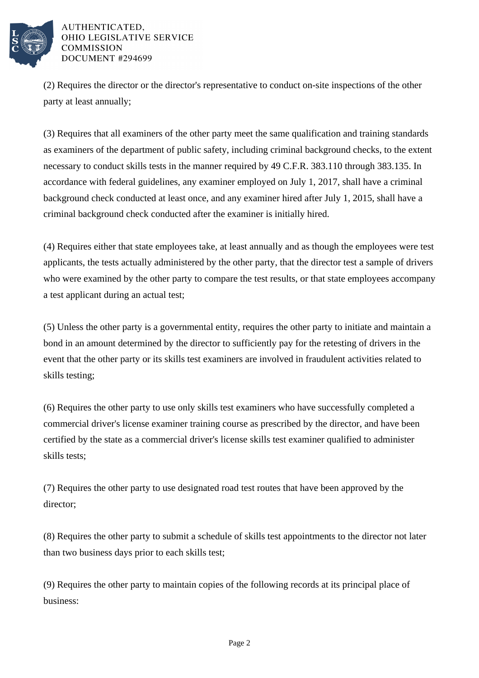

(2) Requires the director or the director's representative to conduct on-site inspections of the other party at least annually;

(3) Requires that all examiners of the other party meet the same qualification and training standards as examiners of the department of public safety, including criminal background checks, to the extent necessary to conduct skills tests in the manner required by 49 C.F.R. 383.110 through 383.135. In accordance with federal guidelines, any examiner employed on July 1, 2017, shall have a criminal background check conducted at least once, and any examiner hired after July 1, 2015, shall have a criminal background check conducted after the examiner is initially hired.

(4) Requires either that state employees take, at least annually and as though the employees were test applicants, the tests actually administered by the other party, that the director test a sample of drivers who were examined by the other party to compare the test results, or that state employees accompany a test applicant during an actual test;

(5) Unless the other party is a governmental entity, requires the other party to initiate and maintain a bond in an amount determined by the director to sufficiently pay for the retesting of drivers in the event that the other party or its skills test examiners are involved in fraudulent activities related to skills testing;

(6) Requires the other party to use only skills test examiners who have successfully completed a commercial driver's license examiner training course as prescribed by the director, and have been certified by the state as a commercial driver's license skills test examiner qualified to administer skills tests;

(7) Requires the other party to use designated road test routes that have been approved by the director;

(8) Requires the other party to submit a schedule of skills test appointments to the director not later than two business days prior to each skills test;

(9) Requires the other party to maintain copies of the following records at its principal place of business: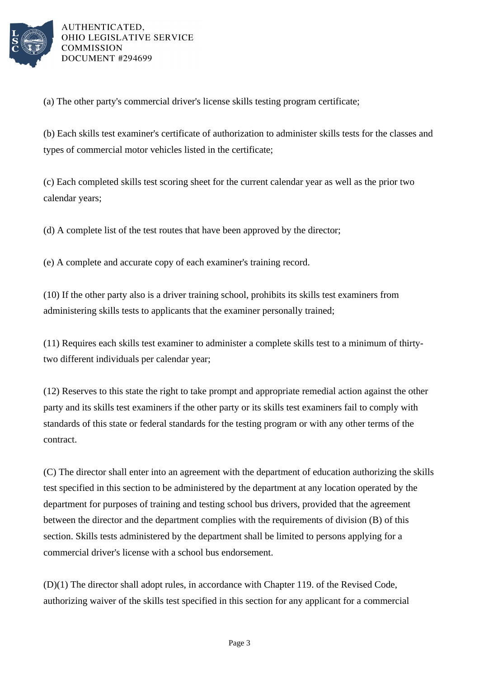

(a) The other party's commercial driver's license skills testing program certificate;

(b) Each skills test examiner's certificate of authorization to administer skills tests for the classes and types of commercial motor vehicles listed in the certificate;

(c) Each completed skills test scoring sheet for the current calendar year as well as the prior two calendar years;

(d) A complete list of the test routes that have been approved by the director;

(e) A complete and accurate copy of each examiner's training record.

(10) If the other party also is a driver training school, prohibits its skills test examiners from administering skills tests to applicants that the examiner personally trained;

(11) Requires each skills test examiner to administer a complete skills test to a minimum of thirtytwo different individuals per calendar year;

(12) Reserves to this state the right to take prompt and appropriate remedial action against the other party and its skills test examiners if the other party or its skills test examiners fail to comply with standards of this state or federal standards for the testing program or with any other terms of the contract.

(C) The director shall enter into an agreement with the department of education authorizing the skills test specified in this section to be administered by the department at any location operated by the department for purposes of training and testing school bus drivers, provided that the agreement between the director and the department complies with the requirements of division (B) of this section. Skills tests administered by the department shall be limited to persons applying for a commercial driver's license with a school bus endorsement.

(D)(1) The director shall adopt rules, in accordance with Chapter 119. of the Revised Code, authorizing waiver of the skills test specified in this section for any applicant for a commercial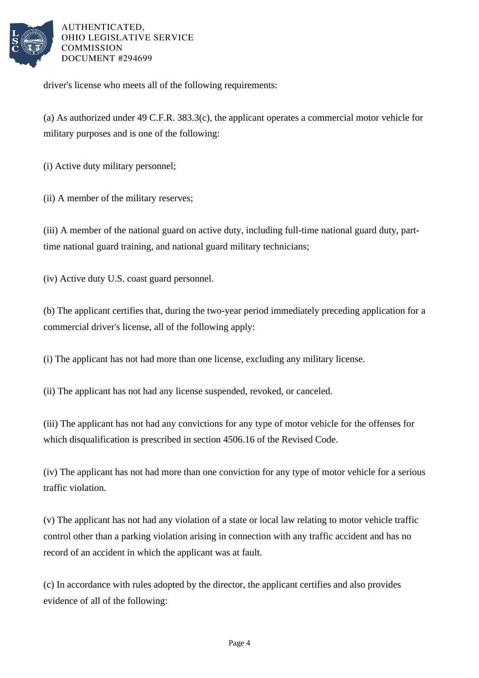

driver's license who meets all of the following requirements:

(a) As authorized under 49 C.F.R. 383.3(c), the applicant operates a commercial motor vehicle for military purposes and is one of the following:

(i) Active duty military personnel;

(ii) A member of the military reserves;

(iii) A member of the national guard on active duty, including full-time national guard duty, parttime national guard training, and national guard military technicians;

(iv) Active duty U.S. coast guard personnel.

(b) The applicant certifies that, during the two-year period immediately preceding application for a commercial driver's license, all of the following apply:

(i) The applicant has not had more than one license, excluding any military license.

(ii) The applicant has not had any license suspended, revoked, or canceled.

(iii) The applicant has not had any convictions for any type of motor vehicle for the offenses for which disqualification is prescribed in section 4506.16 of the Revised Code.

(iv) The applicant has not had more than one conviction for any type of motor vehicle for a serious traffic violation.

(v) The applicant has not had any violation of a state or local law relating to motor vehicle traffic control other than a parking violation arising in connection with any traffic accident and has no record of an accident in which the applicant was at fault.

(c) In accordance with rules adopted by the director, the applicant certifies and also provides evidence of all of the following: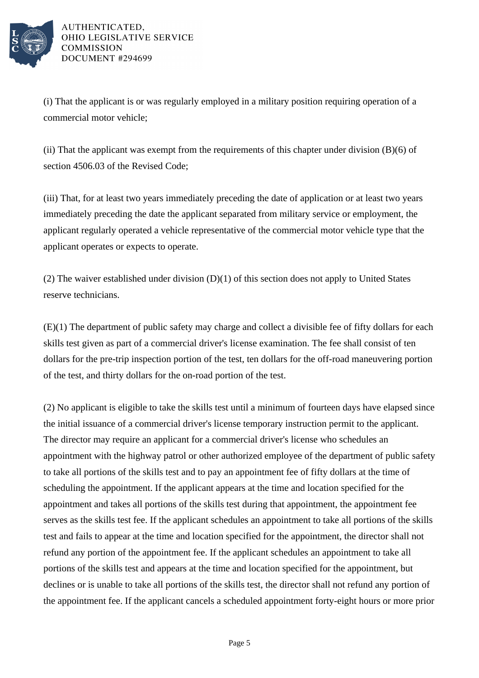

(i) That the applicant is or was regularly employed in a military position requiring operation of a commercial motor vehicle;

(ii) That the applicant was exempt from the requirements of this chapter under division (B)(6) of section 4506.03 of the Revised Code;

(iii) That, for at least two years immediately preceding the date of application or at least two years immediately preceding the date the applicant separated from military service or employment, the applicant regularly operated a vehicle representative of the commercial motor vehicle type that the applicant operates or expects to operate.

(2) The waiver established under division (D)(1) of this section does not apply to United States reserve technicians.

(E)(1) The department of public safety may charge and collect a divisible fee of fifty dollars for each skills test given as part of a commercial driver's license examination. The fee shall consist of ten dollars for the pre-trip inspection portion of the test, ten dollars for the off-road maneuvering portion of the test, and thirty dollars for the on-road portion of the test.

(2) No applicant is eligible to take the skills test until a minimum of fourteen days have elapsed since the initial issuance of a commercial driver's license temporary instruction permit to the applicant. The director may require an applicant for a commercial driver's license who schedules an appointment with the highway patrol or other authorized employee of the department of public safety to take all portions of the skills test and to pay an appointment fee of fifty dollars at the time of scheduling the appointment. If the applicant appears at the time and location specified for the appointment and takes all portions of the skills test during that appointment, the appointment fee serves as the skills test fee. If the applicant schedules an appointment to take all portions of the skills test and fails to appear at the time and location specified for the appointment, the director shall not refund any portion of the appointment fee. If the applicant schedules an appointment to take all portions of the skills test and appears at the time and location specified for the appointment, but declines or is unable to take all portions of the skills test, the director shall not refund any portion of the appointment fee. If the applicant cancels a scheduled appointment forty-eight hours or more prior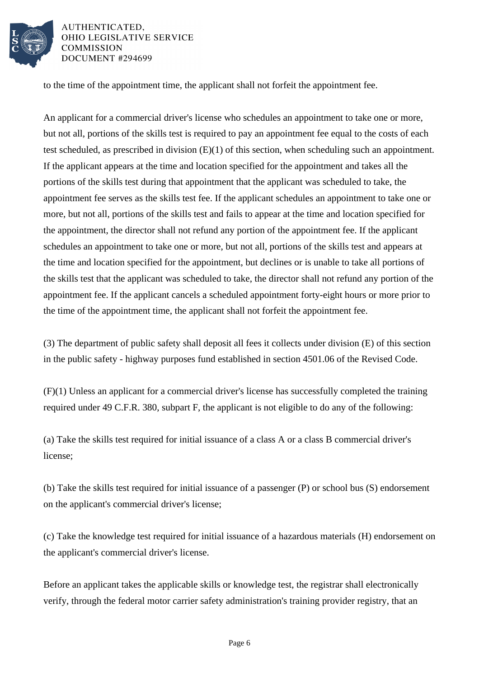

to the time of the appointment time, the applicant shall not forfeit the appointment fee.

An applicant for a commercial driver's license who schedules an appointment to take one or more, but not all, portions of the skills test is required to pay an appointment fee equal to the costs of each test scheduled, as prescribed in division (E)(1) of this section, when scheduling such an appointment. If the applicant appears at the time and location specified for the appointment and takes all the portions of the skills test during that appointment that the applicant was scheduled to take, the appointment fee serves as the skills test fee. If the applicant schedules an appointment to take one or more, but not all, portions of the skills test and fails to appear at the time and location specified for the appointment, the director shall not refund any portion of the appointment fee. If the applicant schedules an appointment to take one or more, but not all, portions of the skills test and appears at the time and location specified for the appointment, but declines or is unable to take all portions of the skills test that the applicant was scheduled to take, the director shall not refund any portion of the appointment fee. If the applicant cancels a scheduled appointment forty-eight hours or more prior to the time of the appointment time, the applicant shall not forfeit the appointment fee.

(3) The department of public safety shall deposit all fees it collects under division (E) of this section in the public safety - highway purposes fund established in section 4501.06 of the Revised Code.

(F)(1) Unless an applicant for a commercial driver's license has successfully completed the training required under 49 C.F.R. 380, subpart F, the applicant is not eligible to do any of the following:

(a) Take the skills test required for initial issuance of a class A or a class B commercial driver's license;

(b) Take the skills test required for initial issuance of a passenger (P) or school bus (S) endorsement on the applicant's commercial driver's license;

(c) Take the knowledge test required for initial issuance of a hazardous materials (H) endorsement on the applicant's commercial driver's license.

Before an applicant takes the applicable skills or knowledge test, the registrar shall electronically verify, through the federal motor carrier safety administration's training provider registry, that an